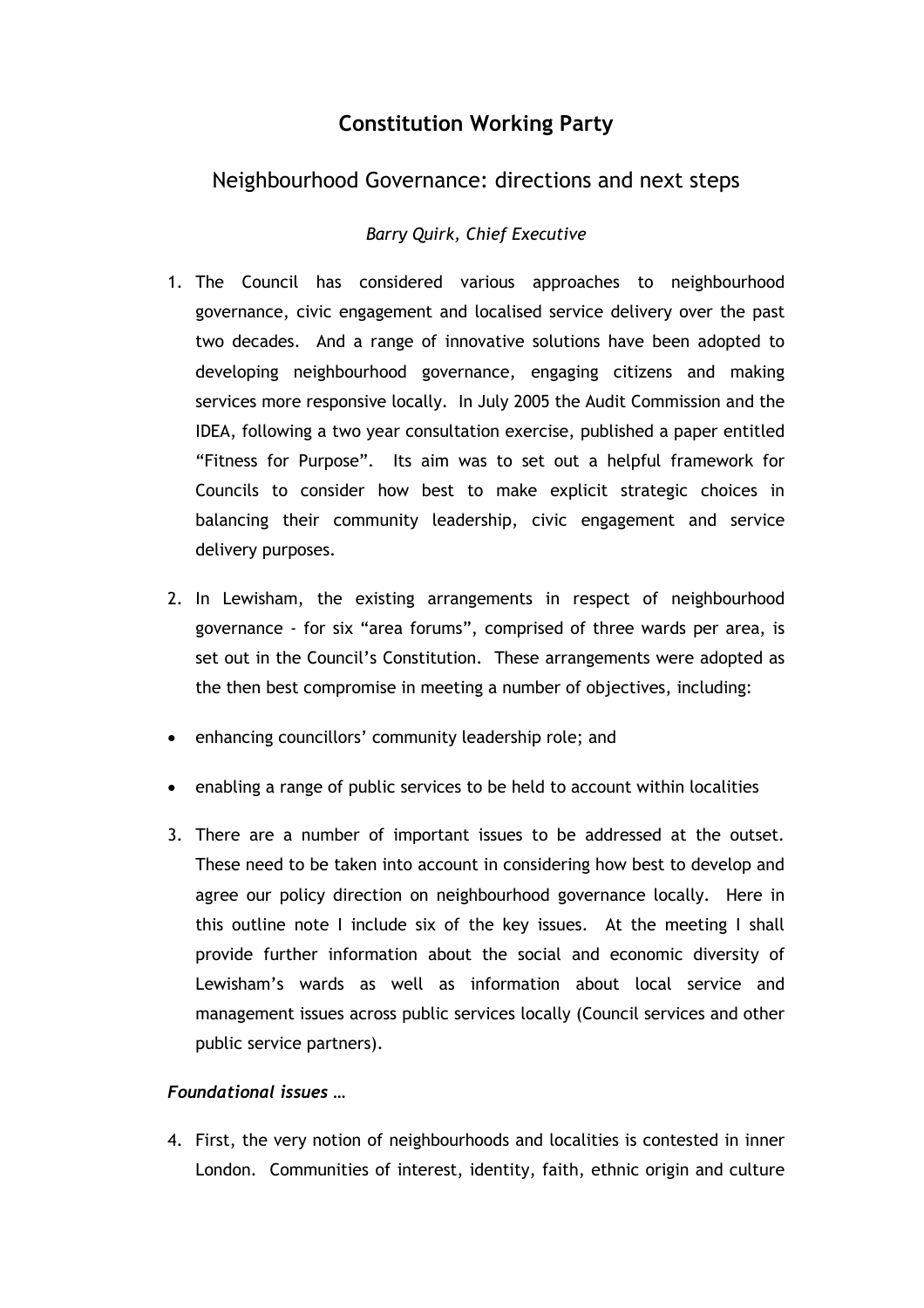## **Constitution Working Party**

## Neighbourhood Governance: directions and next steps

## *Barry Quirk, Chief Executive*

- 1. The Council has considered various approaches to neighbourhood governance, civic engagement and localised service delivery over the past two decades. And a range of innovative solutions have been adopted to developing neighbourhood governance, engaging citizens and making services more responsive locally. In July 2005 the Audit Commission and the IDEA, following a two year consultation exercise, published a paper entitled "Fitness for Purpose". Its aim was to set out a helpful framework for Councils to consider how best to make explicit strategic choices in balancing their community leadership, civic engagement and service delivery purposes.
- 2. In Lewisham, the existing arrangements in respect of neighbourhood governance - for six "area forums", comprised of three wards per area, is set out in the Council's Constitution. These arrangements were adopted as the then best compromise in meeting a number of objectives, including:
- enhancing councillors' community leadership role; and
- enabling a range of public services to be held to account within localities
- 3. There are a number of important issues to be addressed at the outset. These need to be taken into account in considering how best to develop and agree our policy direction on neighbourhood governance locally. Here in this outline note I include six of the key issues. At the meeting I shall provide further information about the social and economic diversity of Lewisham's wards as well as information about local service and management issues across public services locally (Council services and other public service partners).

## *Foundational issues …*

4. First, the very notion of neighbourhoods and localities is contested in inner London. Communities of interest, identity, faith, ethnic origin and culture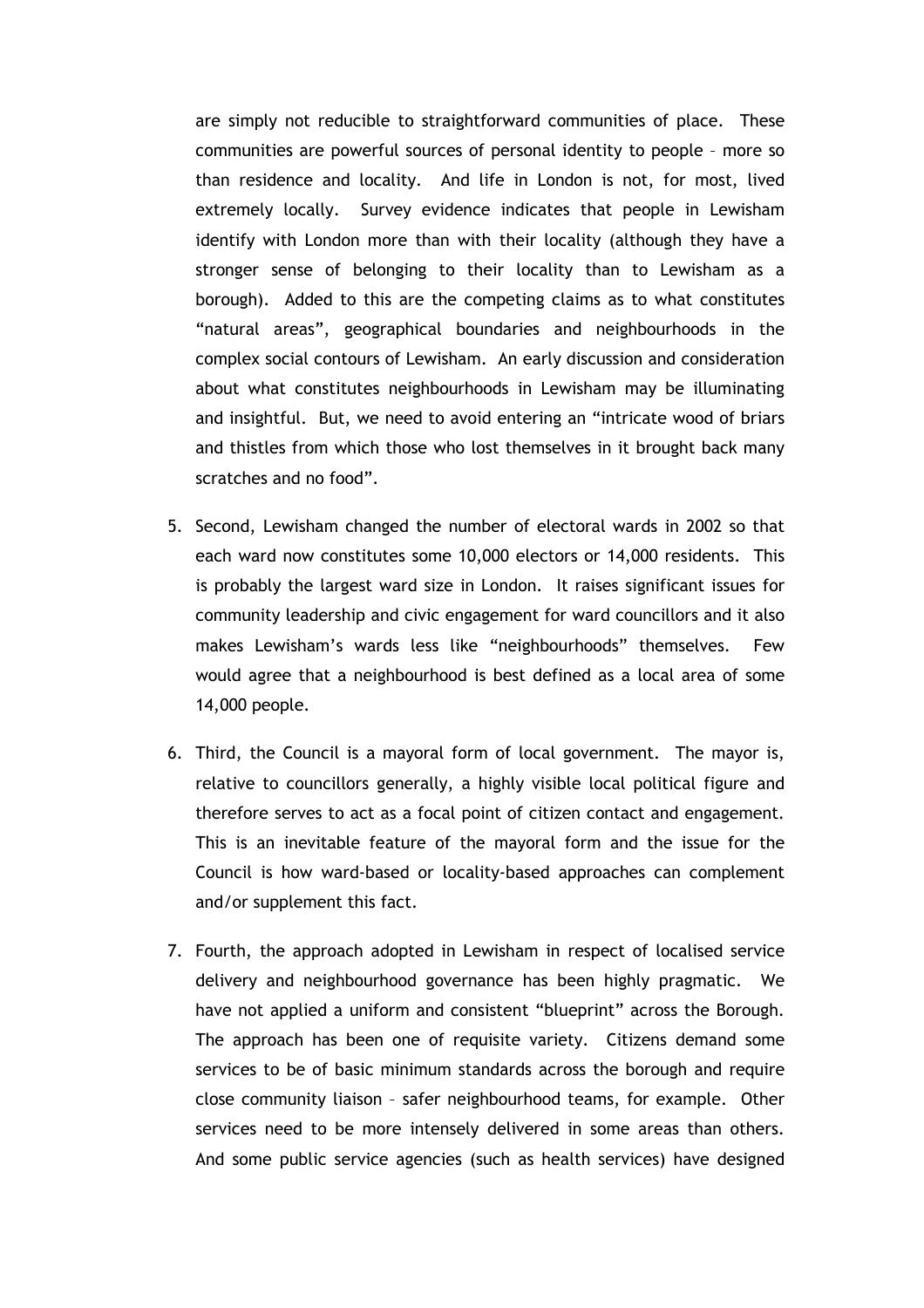are simply not reducible to straightforward communities of place. These communities are powerful sources of personal identity to people – more so than residence and locality. And life in London is not, for most, lived extremely locally. Survey evidence indicates that people in Lewisham identify with London more than with their locality (although they have a stronger sense of belonging to their locality than to Lewisham as a borough). Added to this are the competing claims as to what constitutes "natural areas", geographical boundaries and neighbourhoods in the complex social contours of Lewisham. An early discussion and consideration about what constitutes neighbourhoods in Lewisham may be illuminating and insightful. But, we need to avoid entering an "intricate wood of briars and thistles from which those who lost themselves in it brought back many scratches and no food".

- 5. Second, Lewisham changed the number of electoral wards in 2002 so that each ward now constitutes some 10,000 electors or 14,000 residents. This is probably the largest ward size in London. It raises significant issues for community leadership and civic engagement for ward councillors and it also makes Lewisham's wards less like "neighbourhoods" themselves. Few would agree that a neighbourhood is best defined as a local area of some 14,000 people.
- 6. Third, the Council is a mayoral form of local government. The mayor is, relative to councillors generally, a highly visible local political figure and therefore serves to act as a focal point of citizen contact and engagement. This is an inevitable feature of the mayoral form and the issue for the Council is how ward-based or locality-based approaches can complement and/or supplement this fact.
- 7. Fourth, the approach adopted in Lewisham in respect of localised service delivery and neighbourhood governance has been highly pragmatic. We have not applied a uniform and consistent "blueprint" across the Borough. The approach has been one of requisite variety. Citizens demand some services to be of basic minimum standards across the borough and require close community liaison – safer neighbourhood teams, for example. Other services need to be more intensely delivered in some areas than others. And some public service agencies (such as health services) have designed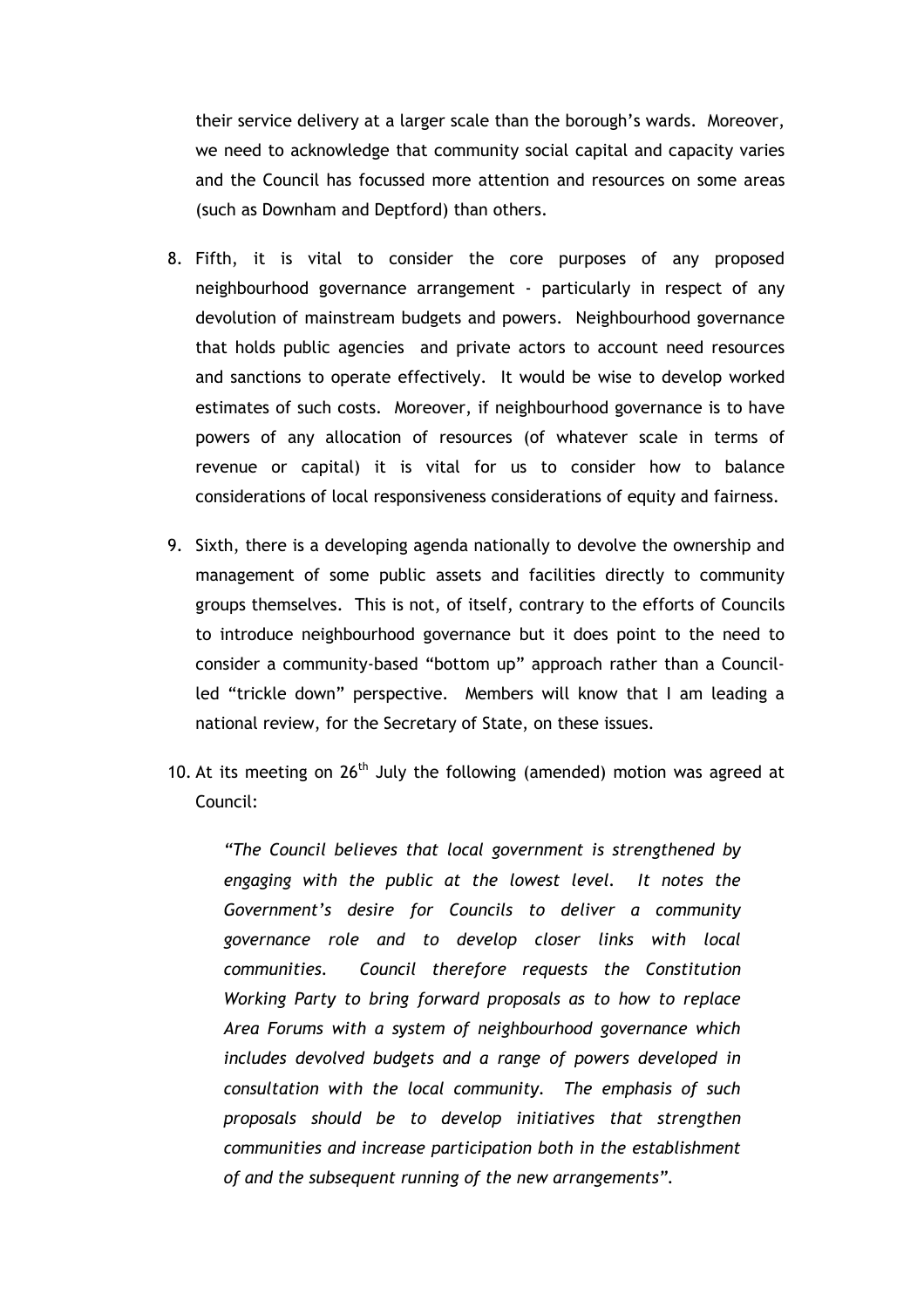their service delivery at a larger scale than the borough's wards. Moreover, we need to acknowledge that community social capital and capacity varies and the Council has focussed more attention and resources on some areas (such as Downham and Deptford) than others.

- 8. Fifth, it is vital to consider the core purposes of any proposed neighbourhood governance arrangement - particularly in respect of any devolution of mainstream budgets and powers. Neighbourhood governance that holds public agencies and private actors to account need resources and sanctions to operate effectively. It would be wise to develop worked estimates of such costs. Moreover, if neighbourhood governance is to have powers of any allocation of resources (of whatever scale in terms of revenue or capital) it is vital for us to consider how to balance considerations of local responsiveness considerations of equity and fairness.
- 9. Sixth, there is a developing agenda nationally to devolve the ownership and management of some public assets and facilities directly to community groups themselves. This is not, of itself, contrary to the efforts of Councils to introduce neighbourhood governance but it does point to the need to consider a community-based "bottom up" approach rather than a Councilled "trickle down" perspective. Members will know that I am leading a national review, for the Secretary of State, on these issues.
- 10. At its meeting on  $26<sup>th</sup>$  July the following (amended) motion was agreed at Council:

*"The Council believes that local government is strengthened by engaging with the public at the lowest level. It notes the Government's desire for Councils to deliver a community governance role and to develop closer links with local communities. Council therefore requests the Constitution Working Party to bring forward proposals as to how to replace Area Forums with a system of neighbourhood governance which includes devolved budgets and a range of powers developed in consultation with the local community. The emphasis of such proposals should be to develop initiatives that strengthen communities and increase participation both in the establishment of and the subsequent running of the new arrangements".*